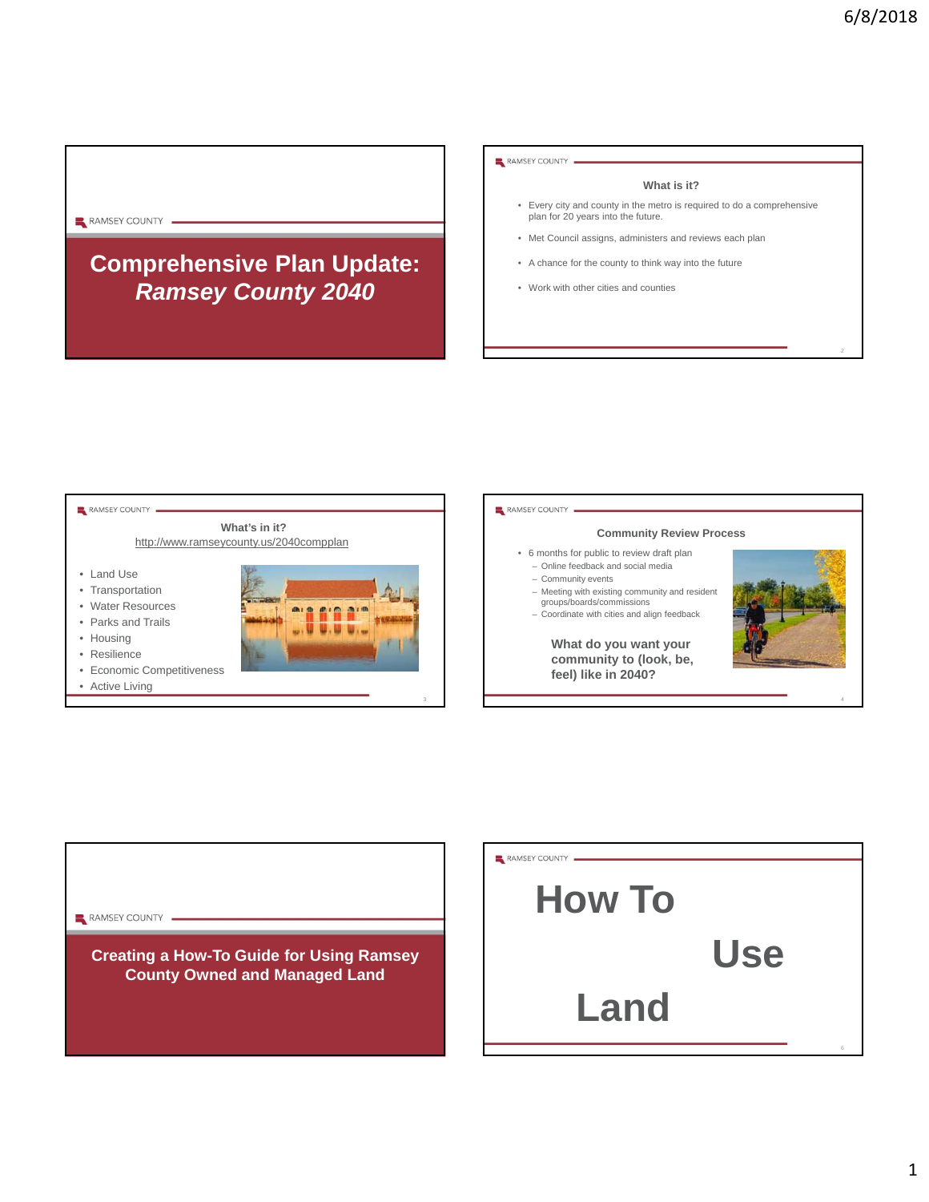## RAMSEY COUNTY

# **Comprehensive Plan Update:**  *Ramsey County 2040*

RAMSEY COUNTY

#### **What is it?**

- Every city and county in the metro is required to do a comprehensive plan for 20 years into the future.
- Met Council assigns, administers and reviews each plan
- A chance for the county to think way into the future
- Work with other cities and counties





6